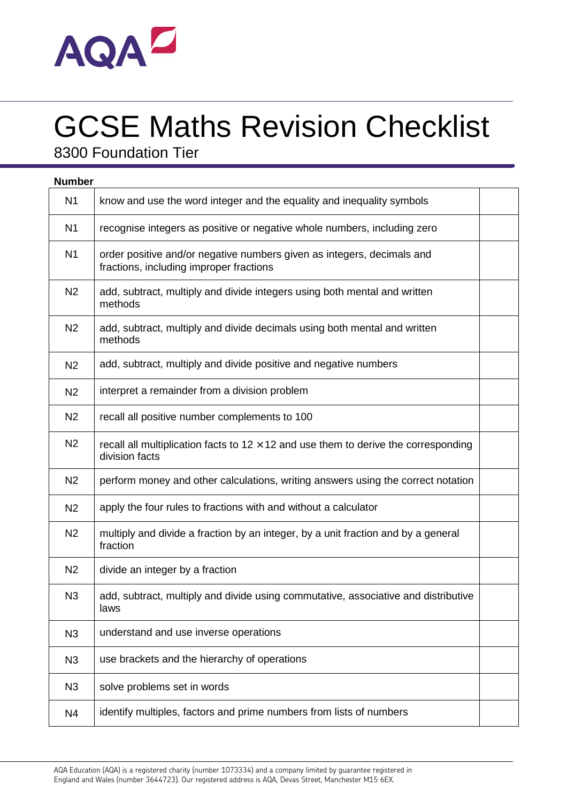

## GCSE Maths Revision Checklist

8300 Foundation Tier

| <b>Number</b>  |                                                                                                                   |  |
|----------------|-------------------------------------------------------------------------------------------------------------------|--|
| N <sub>1</sub> | know and use the word integer and the equality and inequality symbols                                             |  |
| N <sub>1</sub> | recognise integers as positive or negative whole numbers, including zero                                          |  |
| N <sub>1</sub> | order positive and/or negative numbers given as integers, decimals and<br>fractions, including improper fractions |  |
| N <sub>2</sub> | add, subtract, multiply and divide integers using both mental and written<br>methods                              |  |
| N <sub>2</sub> | add, subtract, multiply and divide decimals using both mental and written<br>methods                              |  |
| N <sub>2</sub> | add, subtract, multiply and divide positive and negative numbers                                                  |  |
| N <sub>2</sub> | interpret a remainder from a division problem                                                                     |  |
| N <sub>2</sub> | recall all positive number complements to 100                                                                     |  |
| N <sub>2</sub> | recall all multiplication facts to $12 \times 12$ and use them to derive the corresponding<br>division facts      |  |
| N <sub>2</sub> | perform money and other calculations, writing answers using the correct notation                                  |  |
| N <sub>2</sub> | apply the four rules to fractions with and without a calculator                                                   |  |
| N <sub>2</sub> | multiply and divide a fraction by an integer, by a unit fraction and by a general<br>fraction                     |  |
| N <sub>2</sub> | divide an integer by a fraction                                                                                   |  |
| N <sub>3</sub> | add, subtract, multiply and divide using commutative, associative and distributive<br>laws                        |  |
| N <sub>3</sub> | understand and use inverse operations                                                                             |  |
| N <sub>3</sub> | use brackets and the hierarchy of operations                                                                      |  |
| N <sub>3</sub> | solve problems set in words                                                                                       |  |
| N <sub>4</sub> | identify multiples, factors and prime numbers from lists of numbers                                               |  |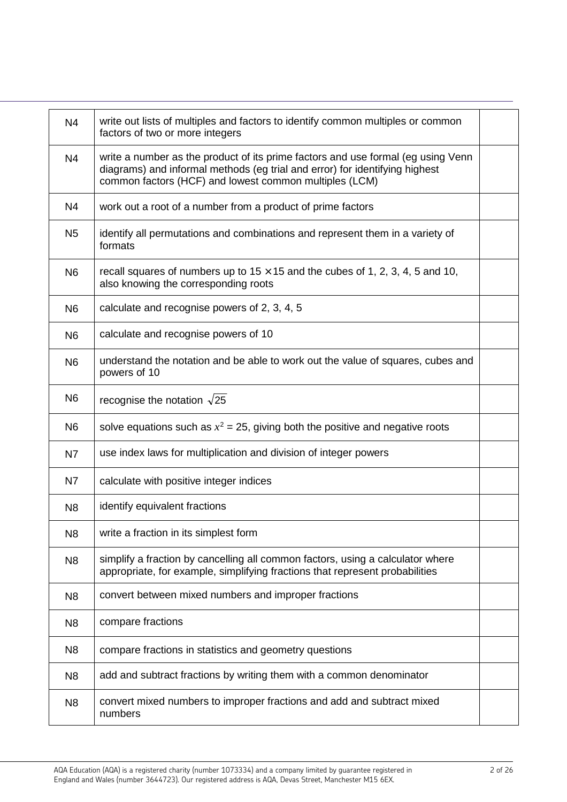| N <sub>4</sub> | write out lists of multiples and factors to identify common multiples or common<br>factors of two or more integers                                                                                                        |  |
|----------------|---------------------------------------------------------------------------------------------------------------------------------------------------------------------------------------------------------------------------|--|
| N <sub>4</sub> | write a number as the product of its prime factors and use formal (eg using Venn<br>diagrams) and informal methods (eg trial and error) for identifying highest<br>common factors (HCF) and lowest common multiples (LCM) |  |
| N4             | work out a root of a number from a product of prime factors                                                                                                                                                               |  |
| N <sub>5</sub> | identify all permutations and combinations and represent them in a variety of<br>formats                                                                                                                                  |  |
| N <sub>6</sub> | recall squares of numbers up to $15 \times 15$ and the cubes of 1, 2, 3, 4, 5 and 10,<br>also knowing the corresponding roots                                                                                             |  |
| N <sub>6</sub> | calculate and recognise powers of 2, 3, 4, 5                                                                                                                                                                              |  |
| N <sub>6</sub> | calculate and recognise powers of 10                                                                                                                                                                                      |  |
| N <sub>6</sub> | understand the notation and be able to work out the value of squares, cubes and<br>powers of 10                                                                                                                           |  |
| N <sub>6</sub> | recognise the notation $\sqrt{25}$                                                                                                                                                                                        |  |
| N <sub>6</sub> | solve equations such as $x^2 = 25$ , giving both the positive and negative roots                                                                                                                                          |  |
| N7             | use index laws for multiplication and division of integer powers                                                                                                                                                          |  |
| N7             | calculate with positive integer indices                                                                                                                                                                                   |  |
| N <sub>8</sub> | identify equivalent fractions                                                                                                                                                                                             |  |
| N <sub>8</sub> | write a fraction in its simplest form                                                                                                                                                                                     |  |
| N <sub>8</sub> | simplify a fraction by cancelling all common factors, using a calculator where<br>appropriate, for example, simplifying fractions that represent probabilities                                                            |  |
| N <sub>8</sub> | convert between mixed numbers and improper fractions                                                                                                                                                                      |  |
| N <sub>8</sub> | compare fractions                                                                                                                                                                                                         |  |
| N <sub>8</sub> | compare fractions in statistics and geometry questions                                                                                                                                                                    |  |
| N <sub>8</sub> | add and subtract fractions by writing them with a common denominator                                                                                                                                                      |  |
| N <sub>8</sub> | convert mixed numbers to improper fractions and add and subtract mixed<br>numbers                                                                                                                                         |  |
|                |                                                                                                                                                                                                                           |  |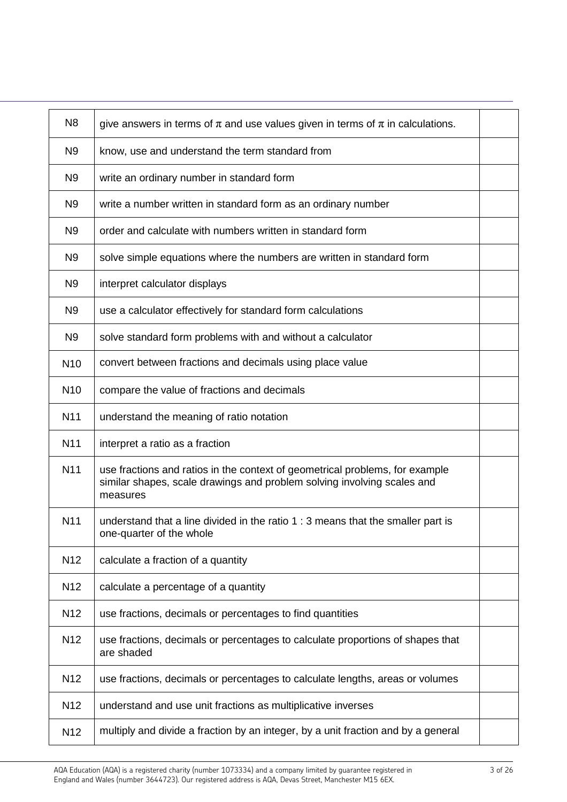| N <sub>8</sub>  | give answers in terms of $\pi$ and use values given in terms of $\pi$ in calculations.                                                                              |  |
|-----------------|---------------------------------------------------------------------------------------------------------------------------------------------------------------------|--|
| N <sub>9</sub>  | know, use and understand the term standard from                                                                                                                     |  |
| N <sub>9</sub>  | write an ordinary number in standard form                                                                                                                           |  |
| N <sub>9</sub>  | write a number written in standard form as an ordinary number                                                                                                       |  |
| N <sub>9</sub>  | order and calculate with numbers written in standard form                                                                                                           |  |
| N <sub>9</sub>  | solve simple equations where the numbers are written in standard form                                                                                               |  |
| N <sub>9</sub>  | interpret calculator displays                                                                                                                                       |  |
| N <sub>9</sub>  | use a calculator effectively for standard form calculations                                                                                                         |  |
| N <sub>9</sub>  | solve standard form problems with and without a calculator                                                                                                          |  |
| N <sub>10</sub> | convert between fractions and decimals using place value                                                                                                            |  |
| N <sub>10</sub> | compare the value of fractions and decimals                                                                                                                         |  |
| N11             | understand the meaning of ratio notation                                                                                                                            |  |
| N <sub>11</sub> | interpret a ratio as a fraction                                                                                                                                     |  |
| N <sub>11</sub> | use fractions and ratios in the context of geometrical problems, for example<br>similar shapes, scale drawings and problem solving involving scales and<br>measures |  |
| N11             | understand that a line divided in the ratio 1 : 3 means that the smaller part is<br>one-quarter of the whole                                                        |  |
| N <sub>12</sub> | calculate a fraction of a quantity                                                                                                                                  |  |
| N <sub>12</sub> | calculate a percentage of a quantity                                                                                                                                |  |
| N <sub>12</sub> | use fractions, decimals or percentages to find quantities                                                                                                           |  |
| N <sub>12</sub> | use fractions, decimals or percentages to calculate proportions of shapes that<br>are shaded                                                                        |  |
| N <sub>12</sub> | use fractions, decimals or percentages to calculate lengths, areas or volumes                                                                                       |  |
| N <sub>12</sub> | understand and use unit fractions as multiplicative inverses                                                                                                        |  |
| N <sub>12</sub> | multiply and divide a fraction by an integer, by a unit fraction and by a general                                                                                   |  |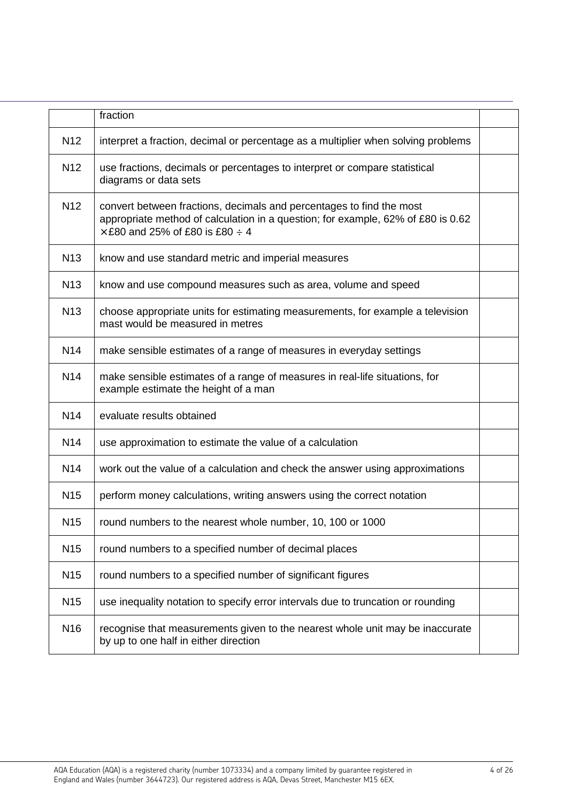|                 | fraction                                                                                                                                                                                           |  |
|-----------------|----------------------------------------------------------------------------------------------------------------------------------------------------------------------------------------------------|--|
| N <sub>12</sub> | interpret a fraction, decimal or percentage as a multiplier when solving problems                                                                                                                  |  |
| N <sub>12</sub> | use fractions, decimals or percentages to interpret or compare statistical<br>diagrams or data sets                                                                                                |  |
| N <sub>12</sub> | convert between fractions, decimals and percentages to find the most<br>appropriate method of calculation in a question; for example, 62% of £80 is 0.62<br>$\times$ £80 and 25% of £80 is £80 ÷ 4 |  |
| N <sub>13</sub> | know and use standard metric and imperial measures                                                                                                                                                 |  |
| N <sub>13</sub> | know and use compound measures such as area, volume and speed                                                                                                                                      |  |
| N <sub>13</sub> | choose appropriate units for estimating measurements, for example a television<br>mast would be measured in metres                                                                                 |  |
| N <sub>14</sub> | make sensible estimates of a range of measures in everyday settings                                                                                                                                |  |
| N <sub>14</sub> | make sensible estimates of a range of measures in real-life situations, for<br>example estimate the height of a man                                                                                |  |
| N <sub>14</sub> | evaluate results obtained                                                                                                                                                                          |  |
| N <sub>14</sub> | use approximation to estimate the value of a calculation                                                                                                                                           |  |
| N <sub>14</sub> | work out the value of a calculation and check the answer using approximations                                                                                                                      |  |
| N <sub>15</sub> | perform money calculations, writing answers using the correct notation                                                                                                                             |  |
| N <sub>15</sub> | round numbers to the nearest whole number, 10, 100 or 1000                                                                                                                                         |  |
| N <sub>15</sub> | round numbers to a specified number of decimal places                                                                                                                                              |  |
| N <sub>15</sub> | round numbers to a specified number of significant figures                                                                                                                                         |  |
| N <sub>15</sub> | use inequality notation to specify error intervals due to truncation or rounding                                                                                                                   |  |
| N <sub>16</sub> | recognise that measurements given to the nearest whole unit may be inaccurate<br>by up to one half in either direction                                                                             |  |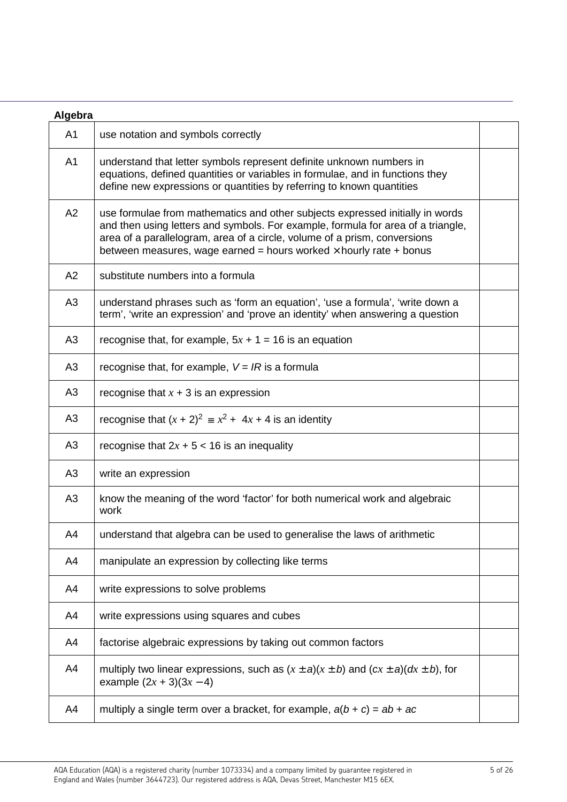| Algebra        |                                                                                                                                                                                                                                                                                                                             |  |
|----------------|-----------------------------------------------------------------------------------------------------------------------------------------------------------------------------------------------------------------------------------------------------------------------------------------------------------------------------|--|
| A <sub>1</sub> | use notation and symbols correctly                                                                                                                                                                                                                                                                                          |  |
| A <sub>1</sub> | understand that letter symbols represent definite unknown numbers in<br>equations, defined quantities or variables in formulae, and in functions they<br>define new expressions or quantities by referring to known quantities                                                                                              |  |
| A2             | use formulae from mathematics and other subjects expressed initially in words<br>and then using letters and symbols. For example, formula for area of a triangle,<br>area of a parallelogram, area of a circle, volume of a prism, conversions<br>between measures, wage earned = hours worked $\times$ hourly rate + bonus |  |
| A2             | substitute numbers into a formula                                                                                                                                                                                                                                                                                           |  |
| A3             | understand phrases such as 'form an equation', 'use a formula', 'write down a<br>term', 'write an expression' and 'prove an identity' when answering a question                                                                                                                                                             |  |
| A3             | recognise that, for example, $5x + 1 = 16$ is an equation                                                                                                                                                                                                                                                                   |  |
| A3             | recognise that, for example, $V = IR$ is a formula                                                                                                                                                                                                                                                                          |  |
| A <sub>3</sub> | recognise that $x + 3$ is an expression                                                                                                                                                                                                                                                                                     |  |
| A <sub>3</sub> | recognise that $(x + 2)^2 = x^2 + 4x + 4$ is an identity                                                                                                                                                                                                                                                                    |  |
| A <sub>3</sub> | recognise that $2x + 5 < 16$ is an inequality                                                                                                                                                                                                                                                                               |  |
| A <sub>3</sub> | write an expression                                                                                                                                                                                                                                                                                                         |  |
| A3             | know the meaning of the word 'factor' for both numerical work and algebraic<br>work                                                                                                                                                                                                                                         |  |
| A4             | understand that algebra can be used to generalise the laws of arithmetic                                                                                                                                                                                                                                                    |  |
| A4             | manipulate an expression by collecting like terms                                                                                                                                                                                                                                                                           |  |
| A4             | write expressions to solve problems                                                                                                                                                                                                                                                                                         |  |
| A4             | write expressions using squares and cubes                                                                                                                                                                                                                                                                                   |  |
| A4             | factorise algebraic expressions by taking out common factors                                                                                                                                                                                                                                                                |  |
| A4             | multiply two linear expressions, such as $(x \pm a)(x \pm b)$ and $(cx \pm a)(dx \pm b)$ , for<br>example $(2x + 3)(3x - 4)$                                                                                                                                                                                                |  |
| A4             | multiply a single term over a bracket, for example, $a(b + c) = ab + ac$                                                                                                                                                                                                                                                    |  |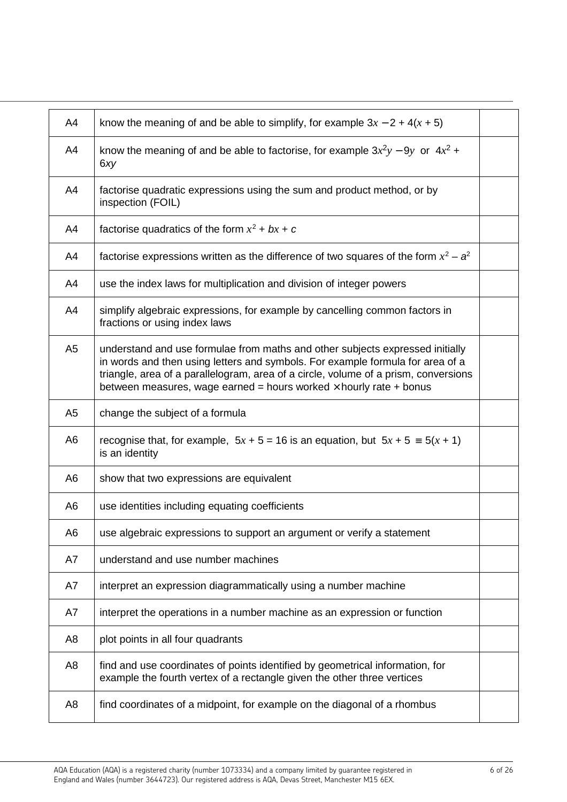| A4             | know the meaning of and be able to simplify, for example $3x - 2 + 4(x + 5)$                                                                                                                                                                                                                                                        |  |
|----------------|-------------------------------------------------------------------------------------------------------------------------------------------------------------------------------------------------------------------------------------------------------------------------------------------------------------------------------------|--|
| A4             | know the meaning of and be able to factorise, for example $3x^2y - 9y$ or $4x^2$ +<br>6xy                                                                                                                                                                                                                                           |  |
| A4             | factorise quadratic expressions using the sum and product method, or by<br>inspection (FOIL)                                                                                                                                                                                                                                        |  |
| A4             | factorise quadratics of the form $x^2 + bx + c$                                                                                                                                                                                                                                                                                     |  |
| A4             | factorise expressions written as the difference of two squares of the form $x^2 - a^2$                                                                                                                                                                                                                                              |  |
| A4             | use the index laws for multiplication and division of integer powers                                                                                                                                                                                                                                                                |  |
| A4             | simplify algebraic expressions, for example by cancelling common factors in<br>fractions or using index laws                                                                                                                                                                                                                        |  |
| A <sub>5</sub> | understand and use formulae from maths and other subjects expressed initially<br>in words and then using letters and symbols. For example formula for area of a<br>triangle, area of a parallelogram, area of a circle, volume of a prism, conversions<br>between measures, wage earned = hours worked $\times$ hourly rate + bonus |  |
| A <sub>5</sub> | change the subject of a formula                                                                                                                                                                                                                                                                                                     |  |
| A <sub>6</sub> | recognise that, for example, $5x + 5 = 16$ is an equation, but $5x + 5 = 5(x + 1)$<br>is an identity                                                                                                                                                                                                                                |  |
| A <sub>6</sub> | show that two expressions are equivalent                                                                                                                                                                                                                                                                                            |  |
| A6             | use identities including equating coefficients                                                                                                                                                                                                                                                                                      |  |
| A6             | use algebraic expressions to support an argument or verify a statement                                                                                                                                                                                                                                                              |  |
| A7             | understand and use number machines                                                                                                                                                                                                                                                                                                  |  |
| A7             | interpret an expression diagrammatically using a number machine                                                                                                                                                                                                                                                                     |  |
| A7             | interpret the operations in a number machine as an expression or function                                                                                                                                                                                                                                                           |  |
| A8             | plot points in all four quadrants                                                                                                                                                                                                                                                                                                   |  |
| A8             | find and use coordinates of points identified by geometrical information, for<br>example the fourth vertex of a rectangle given the other three vertices                                                                                                                                                                            |  |
| A8             | find coordinates of a midpoint, for example on the diagonal of a rhombus                                                                                                                                                                                                                                                            |  |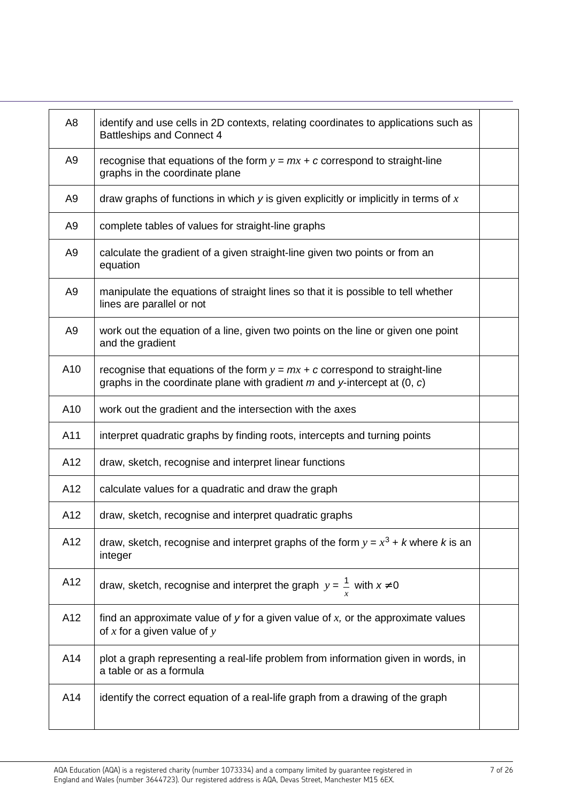| A <sub>8</sub> | identify and use cells in 2D contexts, relating coordinates to applications such as<br>Battleships and Connect 4                                            |  |
|----------------|-------------------------------------------------------------------------------------------------------------------------------------------------------------|--|
| A <sub>9</sub> | recognise that equations of the form $y = mx + c$ correspond to straight-line<br>graphs in the coordinate plane                                             |  |
| A <sub>9</sub> | draw graphs of functions in which $y$ is given explicitly or implicitly in terms of $x$                                                                     |  |
| A <sub>9</sub> | complete tables of values for straight-line graphs                                                                                                          |  |
| A <sub>9</sub> | calculate the gradient of a given straight-line given two points or from an<br>equation                                                                     |  |
| A <sub>9</sub> | manipulate the equations of straight lines so that it is possible to tell whether<br>lines are parallel or not                                              |  |
| A <sub>9</sub> | work out the equation of a line, given two points on the line or given one point<br>and the gradient                                                        |  |
| A10            | recognise that equations of the form $y = mx + c$ correspond to straight-line<br>graphs in the coordinate plane with gradient $m$ and y-intercept at (0, c) |  |
| A10            | work out the gradient and the intersection with the axes                                                                                                    |  |
| A11            | interpret quadratic graphs by finding roots, intercepts and turning points                                                                                  |  |
| A12            | draw, sketch, recognise and interpret linear functions                                                                                                      |  |
| A12            | calculate values for a quadratic and draw the graph                                                                                                         |  |
| A12            | draw, sketch, recognise and interpret quadratic graphs                                                                                                      |  |
| A12            | draw, sketch, recognise and interpret graphs of the form $y = x^3 + k$ where k is an<br>integer                                                             |  |
| A12            | draw, sketch, recognise and interpret the graph $y = \frac{1}{x}$ with $x \ne 0$                                                                            |  |
| A12            | find an approximate value of $y$ for a given value of $x$ , or the approximate values<br>of $x$ for a given value of $y$                                    |  |
| A14            | plot a graph representing a real-life problem from information given in words, in<br>a table or as a formula                                                |  |
| A14            | identify the correct equation of a real-life graph from a drawing of the graph                                                                              |  |
|                |                                                                                                                                                             |  |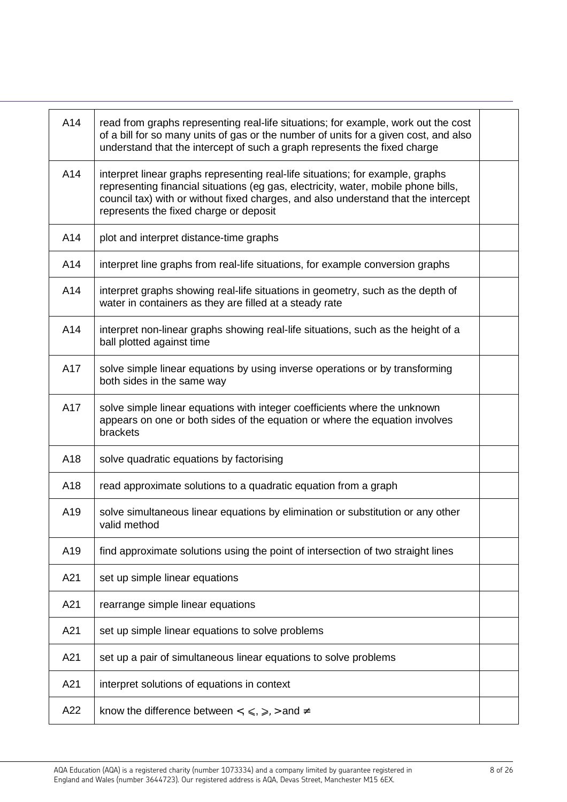| A14 | read from graphs representing real-life situations; for example, work out the cost<br>of a bill for so many units of gas or the number of units for a given cost, and also<br>understand that the intercept of such a graph represents the fixed charge                                              |  |
|-----|------------------------------------------------------------------------------------------------------------------------------------------------------------------------------------------------------------------------------------------------------------------------------------------------------|--|
| A14 | interpret linear graphs representing real-life situations; for example, graphs<br>representing financial situations (eg gas, electricity, water, mobile phone bills,<br>council tax) with or without fixed charges, and also understand that the intercept<br>represents the fixed charge or deposit |  |
| A14 | plot and interpret distance-time graphs                                                                                                                                                                                                                                                              |  |
| A14 | interpret line graphs from real-life situations, for example conversion graphs                                                                                                                                                                                                                       |  |
| A14 | interpret graphs showing real-life situations in geometry, such as the depth of<br>water in containers as they are filled at a steady rate                                                                                                                                                           |  |
| A14 | interpret non-linear graphs showing real-life situations, such as the height of a<br>ball plotted against time                                                                                                                                                                                       |  |
| A17 | solve simple linear equations by using inverse operations or by transforming<br>both sides in the same way                                                                                                                                                                                           |  |
| A17 | solve simple linear equations with integer coefficients where the unknown<br>appears on one or both sides of the equation or where the equation involves<br>brackets                                                                                                                                 |  |
| A18 | solve quadratic equations by factorising                                                                                                                                                                                                                                                             |  |
| A18 | read approximate solutions to a quadratic equation from a graph                                                                                                                                                                                                                                      |  |
| A19 | solve simultaneous linear equations by elimination or substitution or any other<br>valid method                                                                                                                                                                                                      |  |
| A19 | find approximate solutions using the point of intersection of two straight lines                                                                                                                                                                                                                     |  |
| A21 | set up simple linear equations                                                                                                                                                                                                                                                                       |  |
| A21 | rearrange simple linear equations                                                                                                                                                                                                                                                                    |  |
| A21 | set up simple linear equations to solve problems                                                                                                                                                                                                                                                     |  |
| A21 | set up a pair of simultaneous linear equations to solve problems                                                                                                                                                                                                                                     |  |
| A21 | interpret solutions of equations in context                                                                                                                                                                                                                                                          |  |
| A22 | know the difference between $\lt$ , $\leq$ , $\geq$ , $>$ and $\neq$                                                                                                                                                                                                                                 |  |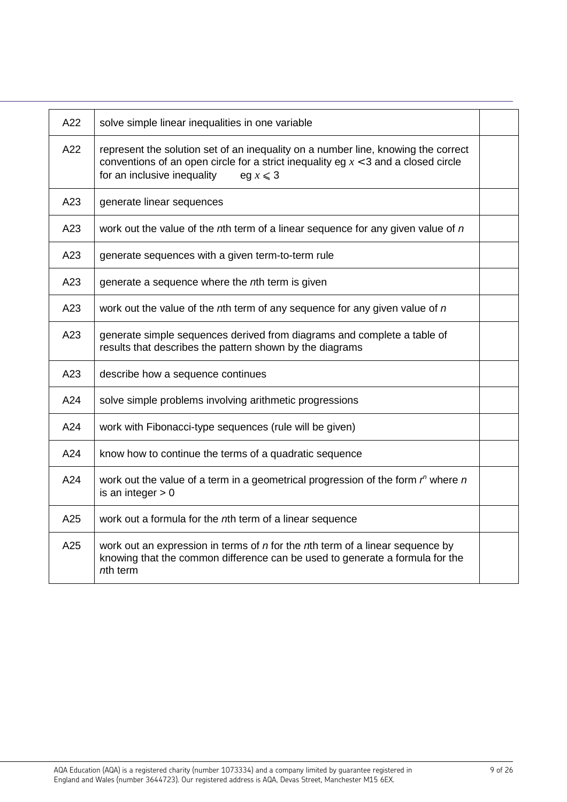| A22 | solve simple linear inequalities in one variable                                                                                                                                                                         |  |
|-----|--------------------------------------------------------------------------------------------------------------------------------------------------------------------------------------------------------------------------|--|
| A22 | represent the solution set of an inequality on a number line, knowing the correct<br>conventions of an open circle for a strict inequality eg $x < 3$ and a closed circle<br>for an inclusive inequality<br>eg $x \le 3$ |  |
| A23 | generate linear sequences                                                                                                                                                                                                |  |
| A23 | work out the value of the nth term of a linear sequence for any given value of n                                                                                                                                         |  |
| A23 | generate sequences with a given term-to-term rule                                                                                                                                                                        |  |
| A23 | generate a sequence where the nth term is given                                                                                                                                                                          |  |
| A23 | work out the value of the nth term of any sequence for any given value of n                                                                                                                                              |  |
| A23 | generate simple sequences derived from diagrams and complete a table of<br>results that describes the pattern shown by the diagrams                                                                                      |  |
| A23 | describe how a sequence continues                                                                                                                                                                                        |  |
| A24 | solve simple problems involving arithmetic progressions                                                                                                                                                                  |  |
| A24 | work with Fibonacci-type sequences (rule will be given)                                                                                                                                                                  |  |
| A24 | know how to continue the terms of a quadratic sequence                                                                                                                                                                   |  |
| A24 | work out the value of a term in a geometrical progression of the form $r^n$ where n<br>is an integer $> 0$                                                                                                               |  |
| A25 | work out a formula for the nth term of a linear sequence                                                                                                                                                                 |  |
| A25 | work out an expression in terms of $n$ for the $n$ th term of a linear sequence by<br>knowing that the common difference can be used to generate a formula for the<br>$nth term$                                         |  |
|     |                                                                                                                                                                                                                          |  |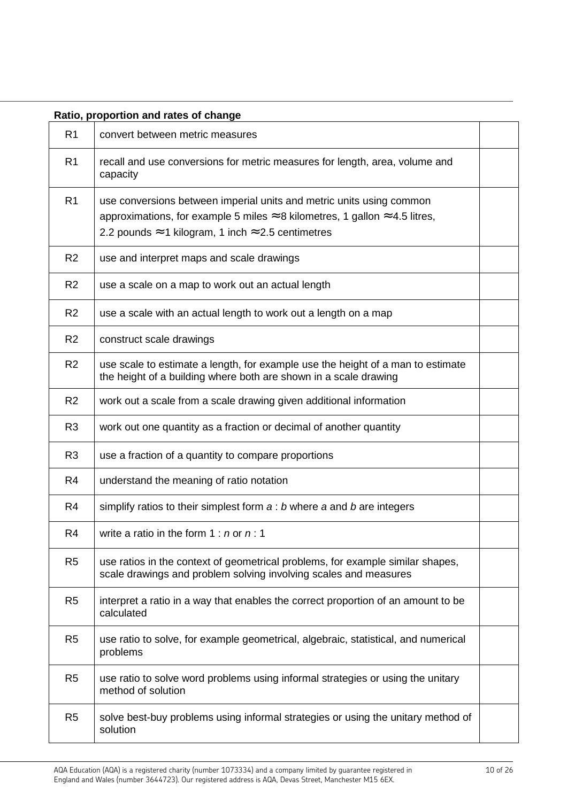|                | Ratio, proportion and rates of change                                                                                                                                                                                                   |  |
|----------------|-----------------------------------------------------------------------------------------------------------------------------------------------------------------------------------------------------------------------------------------|--|
| R <sub>1</sub> | convert between metric measures                                                                                                                                                                                                         |  |
| R <sub>1</sub> | recall and use conversions for metric measures for length, area, volume and<br>capacity                                                                                                                                                 |  |
| R <sub>1</sub> | use conversions between imperial units and metric units using common<br>approximations, for example 5 miles $\approx$ 8 kilometres, 1 gallon $\approx$ 4.5 litres,<br>2.2 pounds $\approx$ 1 kilogram, 1 inch $\approx$ 2.5 centimetres |  |
| R <sub>2</sub> | use and interpret maps and scale drawings                                                                                                                                                                                               |  |
| R <sub>2</sub> | use a scale on a map to work out an actual length                                                                                                                                                                                       |  |
| R <sub>2</sub> | use a scale with an actual length to work out a length on a map                                                                                                                                                                         |  |
| R <sub>2</sub> | construct scale drawings                                                                                                                                                                                                                |  |
| R <sub>2</sub> | use scale to estimate a length, for example use the height of a man to estimate<br>the height of a building where both are shown in a scale drawing                                                                                     |  |
| R <sub>2</sub> | work out a scale from a scale drawing given additional information                                                                                                                                                                      |  |
| R <sub>3</sub> | work out one quantity as a fraction or decimal of another quantity                                                                                                                                                                      |  |
| R <sub>3</sub> | use a fraction of a quantity to compare proportions                                                                                                                                                                                     |  |
| R4             | understand the meaning of ratio notation                                                                                                                                                                                                |  |
| R <sub>4</sub> | simplify ratios to their simplest form $a : b$ where a and b are integers                                                                                                                                                               |  |
| R4             | write a ratio in the form $1 : n$ or $n : 1$                                                                                                                                                                                            |  |
| R <sub>5</sub> | use ratios in the context of geometrical problems, for example similar shapes,<br>scale drawings and problem solving involving scales and measures                                                                                      |  |
| R <sub>5</sub> | interpret a ratio in a way that enables the correct proportion of an amount to be<br>calculated                                                                                                                                         |  |
| R <sub>5</sub> | use ratio to solve, for example geometrical, algebraic, statistical, and numerical<br>problems                                                                                                                                          |  |
| R <sub>5</sub> | use ratio to solve word problems using informal strategies or using the unitary<br>method of solution                                                                                                                                   |  |
| R <sub>5</sub> | solve best-buy problems using informal strategies or using the unitary method of<br>solution                                                                                                                                            |  |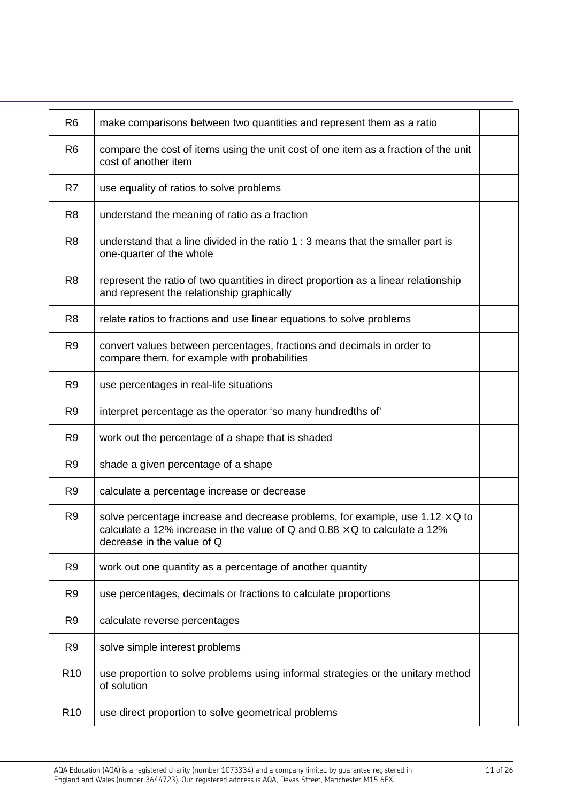| R <sub>6</sub>  | make comparisons between two quantities and represent them as a ratio                                                                                                                                   |  |
|-----------------|---------------------------------------------------------------------------------------------------------------------------------------------------------------------------------------------------------|--|
| R <sub>6</sub>  | compare the cost of items using the unit cost of one item as a fraction of the unit<br>cost of another item                                                                                             |  |
| R7              | use equality of ratios to solve problems                                                                                                                                                                |  |
| R <sub>8</sub>  | understand the meaning of ratio as a fraction                                                                                                                                                           |  |
| R <sub>8</sub>  | understand that a line divided in the ratio 1 : 3 means that the smaller part is<br>one-quarter of the whole                                                                                            |  |
| R <sub>8</sub>  | represent the ratio of two quantities in direct proportion as a linear relationship<br>and represent the relationship graphically                                                                       |  |
| R <sub>8</sub>  | relate ratios to fractions and use linear equations to solve problems                                                                                                                                   |  |
| R <sub>9</sub>  | convert values between percentages, fractions and decimals in order to<br>compare them, for example with probabilities                                                                                  |  |
| R <sub>9</sub>  | use percentages in real-life situations                                                                                                                                                                 |  |
| R <sub>9</sub>  | interpret percentage as the operator 'so many hundredths of'                                                                                                                                            |  |
| R <sub>9</sub>  | work out the percentage of a shape that is shaded                                                                                                                                                       |  |
| R <sub>9</sub>  | shade a given percentage of a shape                                                                                                                                                                     |  |
| R <sub>9</sub>  | calculate a percentage increase or decrease                                                                                                                                                             |  |
| R <sub>9</sub>  | solve percentage increase and decrease problems, for example, use $1.12 \times Q$ to<br>calculate a 12% increase in the value of Q and $0.88 \times Q$ to calculate a 12%<br>decrease in the value of Q |  |
| R <sub>9</sub>  | work out one quantity as a percentage of another quantity                                                                                                                                               |  |
| R <sub>9</sub>  | use percentages, decimals or fractions to calculate proportions                                                                                                                                         |  |
| R <sub>9</sub>  | calculate reverse percentages                                                                                                                                                                           |  |
| R <sub>9</sub>  | solve simple interest problems                                                                                                                                                                          |  |
| R <sub>10</sub> | use proportion to solve problems using informal strategies or the unitary method<br>of solution                                                                                                         |  |
| R <sub>10</sub> | use direct proportion to solve geometrical problems                                                                                                                                                     |  |
|                 |                                                                                                                                                                                                         |  |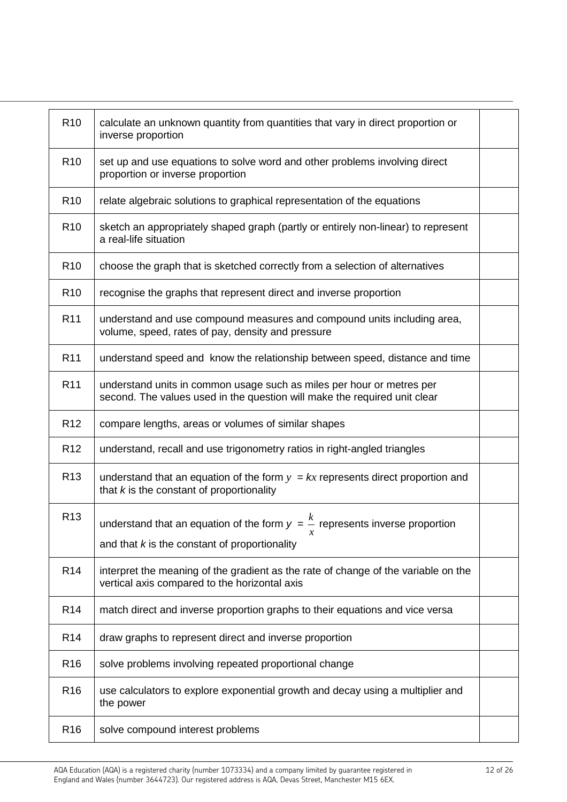| R <sub>10</sub> | calculate an unknown quantity from quantities that vary in direct proportion or<br>inverse proportion                                                       |  |
|-----------------|-------------------------------------------------------------------------------------------------------------------------------------------------------------|--|
| R <sub>10</sub> | set up and use equations to solve word and other problems involving direct<br>proportion or inverse proportion                                              |  |
| R <sub>10</sub> | relate algebraic solutions to graphical representation of the equations                                                                                     |  |
| R <sub>10</sub> | sketch an appropriately shaped graph (partly or entirely non-linear) to represent<br>a real-life situation                                                  |  |
| R <sub>10</sub> | choose the graph that is sketched correctly from a selection of alternatives                                                                                |  |
| R <sub>10</sub> | recognise the graphs that represent direct and inverse proportion                                                                                           |  |
| R <sub>11</sub> | understand and use compound measures and compound units including area,<br>volume, speed, rates of pay, density and pressure                                |  |
| R <sub>11</sub> | understand speed and know the relationship between speed, distance and time                                                                                 |  |
| R <sub>11</sub> | understand units in common usage such as miles per hour or metres per<br>second. The values used in the question will make the required unit clear          |  |
| R <sub>12</sub> | compare lengths, areas or volumes of similar shapes                                                                                                         |  |
| R <sub>12</sub> | understand, recall and use trigonometry ratios in right-angled triangles                                                                                    |  |
| R <sub>13</sub> | understand that an equation of the form $y = kx$ represents direct proportion and<br>that $k$ is the constant of proportionality                            |  |
| R <sub>13</sub> | understand that an equation of the form $y = \frac{k}{x}$ represents inverse proportion<br>$\mathcal{X}$<br>and that $k$ is the constant of proportionality |  |
| R <sub>14</sub> | interpret the meaning of the gradient as the rate of change of the variable on the<br>vertical axis compared to the horizontal axis                         |  |
| R <sub>14</sub> | match direct and inverse proportion graphs to their equations and vice versa                                                                                |  |
| R <sub>14</sub> | draw graphs to represent direct and inverse proportion                                                                                                      |  |
| R <sub>16</sub> | solve problems involving repeated proportional change                                                                                                       |  |
| R <sub>16</sub> | use calculators to explore exponential growth and decay using a multiplier and<br>the power                                                                 |  |
| R <sub>16</sub> | solve compound interest problems                                                                                                                            |  |
|                 |                                                                                                                                                             |  |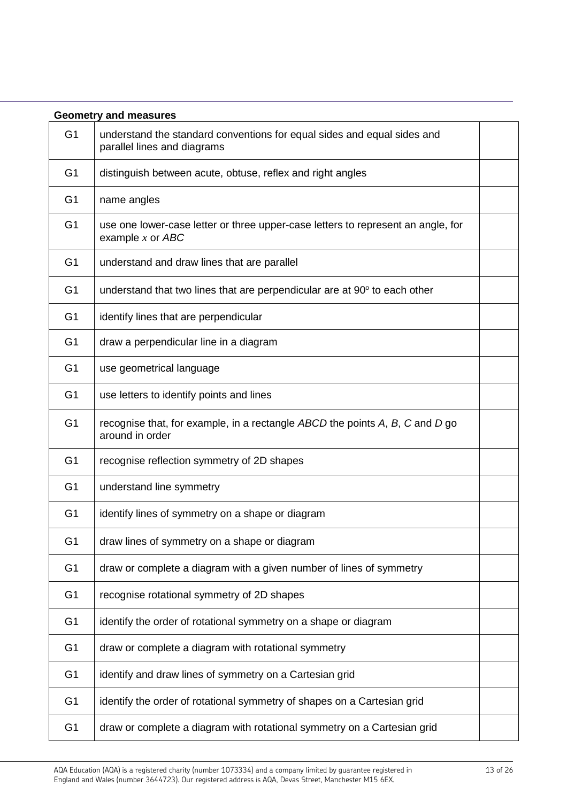|                | <b>Geometry and measures</b>                                                                             |  |
|----------------|----------------------------------------------------------------------------------------------------------|--|
| G <sub>1</sub> | understand the standard conventions for equal sides and equal sides and<br>parallel lines and diagrams   |  |
| G <sub>1</sub> | distinguish between acute, obtuse, reflex and right angles                                               |  |
| G <sub>1</sub> | name angles                                                                                              |  |
| G <sub>1</sub> | use one lower-case letter or three upper-case letters to represent an angle, for<br>example $x$ or $ABC$ |  |
| G <sub>1</sub> | understand and draw lines that are parallel                                                              |  |
| G <sub>1</sub> | understand that two lines that are perpendicular are at 90° to each other                                |  |
| G <sub>1</sub> | identify lines that are perpendicular                                                                    |  |
| G <sub>1</sub> | draw a perpendicular line in a diagram                                                                   |  |
| G <sub>1</sub> | use geometrical language                                                                                 |  |
| G <sub>1</sub> | use letters to identify points and lines                                                                 |  |
| G <sub>1</sub> | recognise that, for example, in a rectangle ABCD the points A, B, C and D go<br>around in order          |  |
| G <sub>1</sub> | recognise reflection symmetry of 2D shapes                                                               |  |
| G <sub>1</sub> | understand line symmetry                                                                                 |  |
| G <sub>1</sub> | identify lines of symmetry on a shape or diagram                                                         |  |
| G <sub>1</sub> | draw lines of symmetry on a shape or diagram                                                             |  |
| G <sub>1</sub> | draw or complete a diagram with a given number of lines of symmetry                                      |  |
| G <sub>1</sub> | recognise rotational symmetry of 2D shapes                                                               |  |
| G <sub>1</sub> | identify the order of rotational symmetry on a shape or diagram                                          |  |
| G <sub>1</sub> | draw or complete a diagram with rotational symmetry                                                      |  |
| G <sub>1</sub> | identify and draw lines of symmetry on a Cartesian grid                                                  |  |
| G <sub>1</sub> | identify the order of rotational symmetry of shapes on a Cartesian grid                                  |  |
| G <sub>1</sub> | draw or complete a diagram with rotational symmetry on a Cartesian grid                                  |  |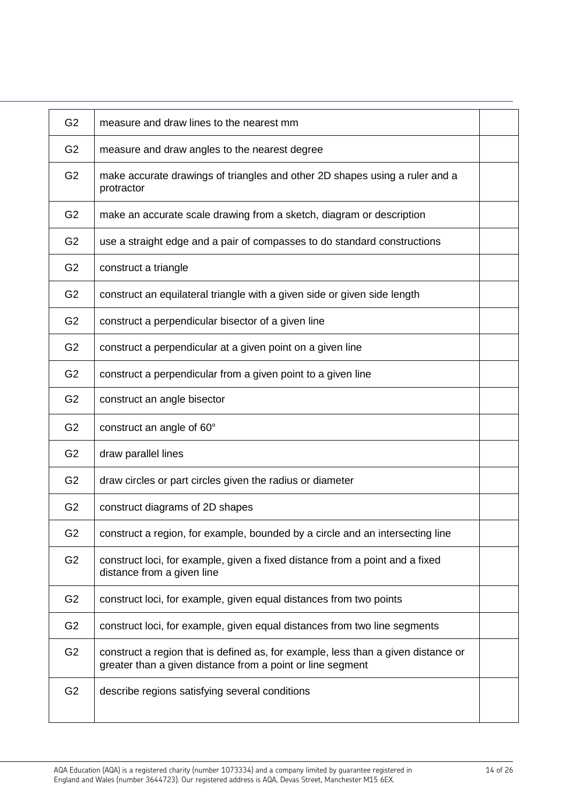| G <sub>2</sub> | measure and draw lines to the nearest mm                                                                                                        |  |
|----------------|-------------------------------------------------------------------------------------------------------------------------------------------------|--|
| G <sub>2</sub> | measure and draw angles to the nearest degree                                                                                                   |  |
| G <sub>2</sub> | make accurate drawings of triangles and other 2D shapes using a ruler and a<br>protractor                                                       |  |
| G <sub>2</sub> | make an accurate scale drawing from a sketch, diagram or description                                                                            |  |
| G <sub>2</sub> | use a straight edge and a pair of compasses to do standard constructions                                                                        |  |
| G <sub>2</sub> | construct a triangle                                                                                                                            |  |
| G <sub>2</sub> | construct an equilateral triangle with a given side or given side length                                                                        |  |
| G <sub>2</sub> | construct a perpendicular bisector of a given line                                                                                              |  |
| G <sub>2</sub> | construct a perpendicular at a given point on a given line                                                                                      |  |
| G <sub>2</sub> | construct a perpendicular from a given point to a given line                                                                                    |  |
| G <sub>2</sub> | construct an angle bisector                                                                                                                     |  |
| G <sub>2</sub> | construct an angle of 60°                                                                                                                       |  |
| G <sub>2</sub> | draw parallel lines                                                                                                                             |  |
| G <sub>2</sub> | draw circles or part circles given the radius or diameter                                                                                       |  |
| G <sub>2</sub> | construct diagrams of 2D shapes                                                                                                                 |  |
| G <sub>2</sub> | construct a region, for example, bounded by a circle and an intersecting line                                                                   |  |
| G <sub>2</sub> | construct loci, for example, given a fixed distance from a point and a fixed<br>distance from a given line                                      |  |
| G <sub>2</sub> | construct loci, for example, given equal distances from two points                                                                              |  |
| G <sub>2</sub> | construct loci, for example, given equal distances from two line segments                                                                       |  |
| G <sub>2</sub> | construct a region that is defined as, for example, less than a given distance or<br>greater than a given distance from a point or line segment |  |
| G <sub>2</sub> | describe regions satisfying several conditions                                                                                                  |  |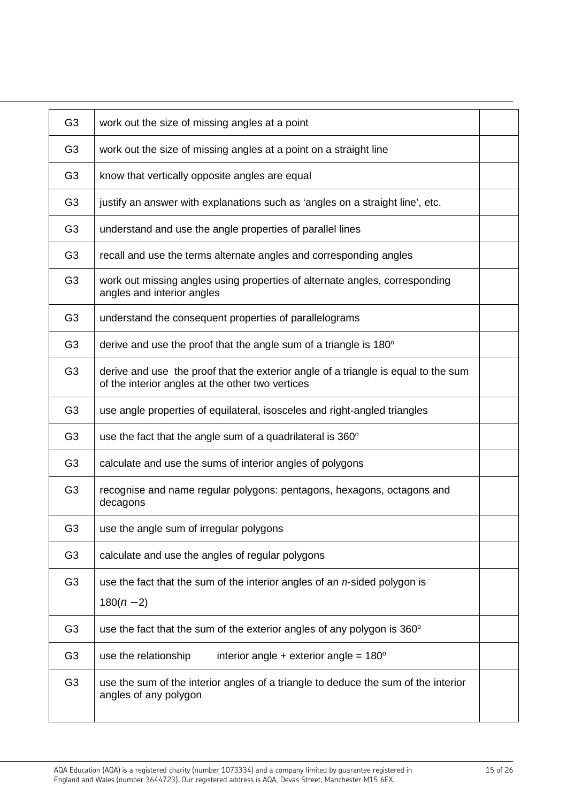| G <sub>3</sub> | work out the size of missing angles at a point                                                                                         |  |
|----------------|----------------------------------------------------------------------------------------------------------------------------------------|--|
| G <sub>3</sub> | work out the size of missing angles at a point on a straight line                                                                      |  |
| G <sub>3</sub> | know that vertically opposite angles are equal                                                                                         |  |
| G <sub>3</sub> | justify an answer with explanations such as 'angles on a straight line', etc.                                                          |  |
| G <sub>3</sub> | understand and use the angle properties of parallel lines                                                                              |  |
| G <sub>3</sub> | recall and use the terms alternate angles and corresponding angles                                                                     |  |
| G <sub>3</sub> | work out missing angles using properties of alternate angles, corresponding<br>angles and interior angles                              |  |
| G <sub>3</sub> | understand the consequent properties of parallelograms                                                                                 |  |
| G <sub>3</sub> | derive and use the proof that the angle sum of a triangle is 180°                                                                      |  |
| G <sub>3</sub> | derive and use the proof that the exterior angle of a triangle is equal to the sum<br>of the interior angles at the other two vertices |  |
| G <sub>3</sub> | use angle properties of equilateral, isosceles and right-angled triangles                                                              |  |
| G <sub>3</sub> | use the fact that the angle sum of a quadrilateral is 360°                                                                             |  |
| G <sub>3</sub> | calculate and use the sums of interior angles of polygons                                                                              |  |
| G <sub>3</sub> | recognise and name regular polygons: pentagons, hexagons, octagons and<br>decagons                                                     |  |
| G <sub>3</sub> | use the angle sum of irregular polygons                                                                                                |  |
| G <sub>3</sub> | calculate and use the angles of regular polygons                                                                                       |  |
| G <sub>3</sub> | use the fact that the sum of the interior angles of an $n$ -sided polygon is<br>$180(n-2)$                                             |  |
| G <sub>3</sub> | use the fact that the sum of the exterior angles of any polygon is 360°                                                                |  |
| G <sub>3</sub> | use the relationship<br>interior angle + exterior angle = $180^\circ$                                                                  |  |
| G <sub>3</sub> | use the sum of the interior angles of a triangle to deduce the sum of the interior<br>angles of any polygon                            |  |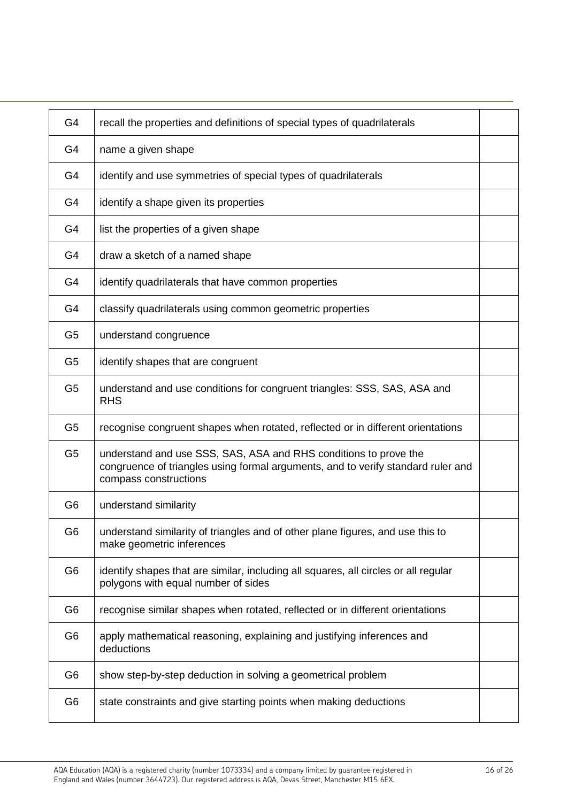| recall the properties and definitions of special types of quadrilaterals                                                                                                      |                                                                   |
|-------------------------------------------------------------------------------------------------------------------------------------------------------------------------------|-------------------------------------------------------------------|
| name a given shape                                                                                                                                                            |                                                                   |
| identify and use symmetries of special types of quadrilaterals                                                                                                                |                                                                   |
| identify a shape given its properties                                                                                                                                         |                                                                   |
| list the properties of a given shape                                                                                                                                          |                                                                   |
| draw a sketch of a named shape                                                                                                                                                |                                                                   |
| identify quadrilaterals that have common properties                                                                                                                           |                                                                   |
| classify quadrilaterals using common geometric properties                                                                                                                     |                                                                   |
| understand congruence                                                                                                                                                         |                                                                   |
| identify shapes that are congruent                                                                                                                                            |                                                                   |
| understand and use conditions for congruent triangles: SSS, SAS, ASA and<br><b>RHS</b>                                                                                        |                                                                   |
| recognise congruent shapes when rotated, reflected or in different orientations                                                                                               |                                                                   |
| understand and use SSS, SAS, ASA and RHS conditions to prove the<br>congruence of triangles using formal arguments, and to verify standard ruler and<br>compass constructions |                                                                   |
| understand similarity                                                                                                                                                         |                                                                   |
| understand similarity of triangles and of other plane figures, and use this to<br>make geometric inferences                                                                   |                                                                   |
| identify shapes that are similar, including all squares, all circles or all regular<br>polygons with equal number of sides                                                    |                                                                   |
| recognise similar shapes when rotated, reflected or in different orientations                                                                                                 |                                                                   |
| apply mathematical reasoning, explaining and justifying inferences and<br>deductions                                                                                          |                                                                   |
| show step-by-step deduction in solving a geometrical problem                                                                                                                  |                                                                   |
|                                                                                                                                                                               |                                                                   |
|                                                                                                                                                                               | state constraints and give starting points when making deductions |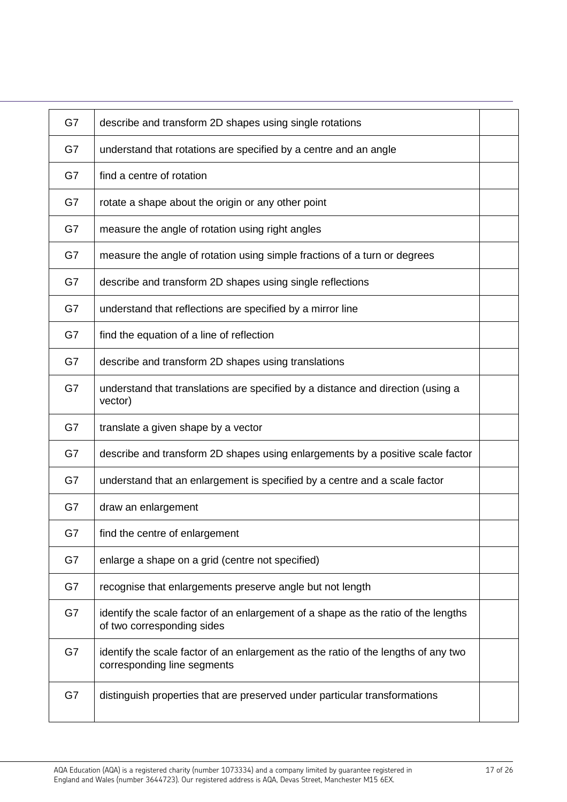| G7 | describe and transform 2D shapes using single rotations                                                           |  |
|----|-------------------------------------------------------------------------------------------------------------------|--|
| G7 | understand that rotations are specified by a centre and an angle                                                  |  |
| G7 | find a centre of rotation                                                                                         |  |
| G7 | rotate a shape about the origin or any other point                                                                |  |
| G7 | measure the angle of rotation using right angles                                                                  |  |
| G7 | measure the angle of rotation using simple fractions of a turn or degrees                                         |  |
| G7 | describe and transform 2D shapes using single reflections                                                         |  |
| G7 | understand that reflections are specified by a mirror line                                                        |  |
| G7 | find the equation of a line of reflection                                                                         |  |
| G7 | describe and transform 2D shapes using translations                                                               |  |
| G7 | understand that translations are specified by a distance and direction (using a<br>vector)                        |  |
| G7 | translate a given shape by a vector                                                                               |  |
| G7 | describe and transform 2D shapes using enlargements by a positive scale factor                                    |  |
| G7 | understand that an enlargement is specified by a centre and a scale factor                                        |  |
| G7 | draw an enlargement                                                                                               |  |
| G7 | find the centre of enlargement                                                                                    |  |
| G7 | enlarge a shape on a grid (centre not specified)                                                                  |  |
| G7 | recognise that enlargements preserve angle but not length                                                         |  |
| G7 | identify the scale factor of an enlargement of a shape as the ratio of the lengths<br>of two corresponding sides  |  |
| G7 | identify the scale factor of an enlargement as the ratio of the lengths of any two<br>corresponding line segments |  |
| G7 | distinguish properties that are preserved under particular transformations                                        |  |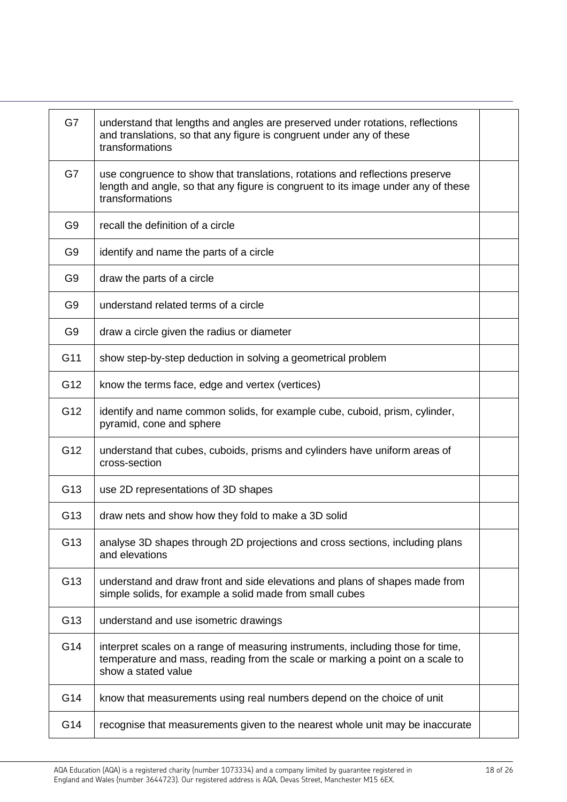| G7             | understand that lengths and angles are preserved under rotations, reflections<br>and translations, so that any figure is congruent under any of these<br>transformations                |  |
|----------------|-----------------------------------------------------------------------------------------------------------------------------------------------------------------------------------------|--|
| G7             | use congruence to show that translations, rotations and reflections preserve<br>length and angle, so that any figure is congruent to its image under any of these<br>transformations    |  |
| G <sub>9</sub> | recall the definition of a circle                                                                                                                                                       |  |
| G <sub>9</sub> | identify and name the parts of a circle                                                                                                                                                 |  |
| G <sub>9</sub> | draw the parts of a circle                                                                                                                                                              |  |
| G <sub>9</sub> | understand related terms of a circle                                                                                                                                                    |  |
| G <sub>9</sub> | draw a circle given the radius or diameter                                                                                                                                              |  |
| G11            | show step-by-step deduction in solving a geometrical problem                                                                                                                            |  |
| G12            | know the terms face, edge and vertex (vertices)                                                                                                                                         |  |
| G12            | identify and name common solids, for example cube, cuboid, prism, cylinder,<br>pyramid, cone and sphere                                                                                 |  |
| G12            | understand that cubes, cuboids, prisms and cylinders have uniform areas of<br>cross-section                                                                                             |  |
| G13            | use 2D representations of 3D shapes                                                                                                                                                     |  |
| G13            | draw nets and show how they fold to make a 3D solid                                                                                                                                     |  |
| G13            | analyse 3D shapes through 2D projections and cross sections, including plans<br>and elevations                                                                                          |  |
| G13            | understand and draw front and side elevations and plans of shapes made from<br>simple solids, for example a solid made from small cubes                                                 |  |
| G13            | understand and use isometric drawings                                                                                                                                                   |  |
| G14            | interpret scales on a range of measuring instruments, including those for time,<br>temperature and mass, reading from the scale or marking a point on a scale to<br>show a stated value |  |
| G14            | know that measurements using real numbers depend on the choice of unit                                                                                                                  |  |
| G14            | recognise that measurements given to the nearest whole unit may be inaccurate                                                                                                           |  |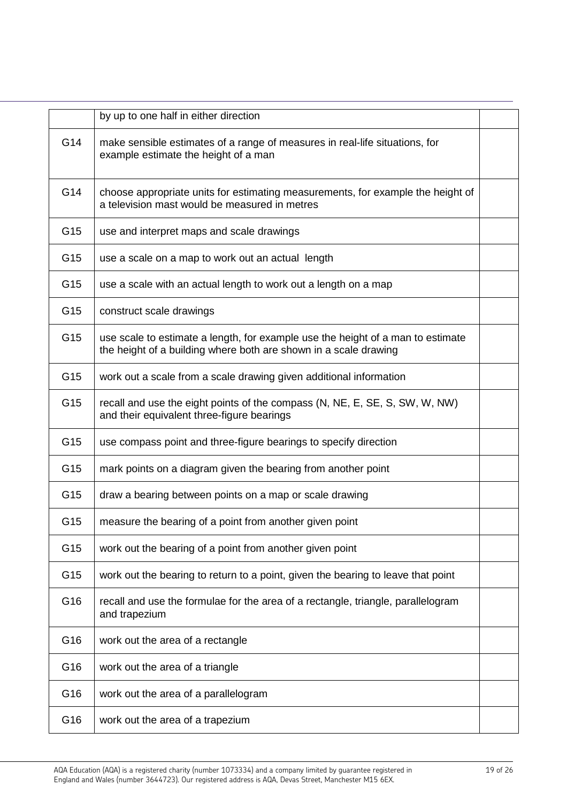|     | by up to one half in either direction                                                                                                               |  |
|-----|-----------------------------------------------------------------------------------------------------------------------------------------------------|--|
| G14 | make sensible estimates of a range of measures in real-life situations, for<br>example estimate the height of a man                                 |  |
| G14 | choose appropriate units for estimating measurements, for example the height of<br>a television mast would be measured in metres                    |  |
| G15 | use and interpret maps and scale drawings                                                                                                           |  |
| G15 | use a scale on a map to work out an actual length                                                                                                   |  |
| G15 | use a scale with an actual length to work out a length on a map                                                                                     |  |
| G15 | construct scale drawings                                                                                                                            |  |
| G15 | use scale to estimate a length, for example use the height of a man to estimate<br>the height of a building where both are shown in a scale drawing |  |
| G15 | work out a scale from a scale drawing given additional information                                                                                  |  |
| G15 | recall and use the eight points of the compass (N, NE, E, SE, S, SW, W, NW)<br>and their equivalent three-figure bearings                           |  |
| G15 | use compass point and three-figure bearings to specify direction                                                                                    |  |
| G15 | mark points on a diagram given the bearing from another point                                                                                       |  |
| G15 | draw a bearing between points on a map or scale drawing                                                                                             |  |
| G15 | measure the bearing of a point from another given point                                                                                             |  |
| G15 | work out the bearing of a point from another given point                                                                                            |  |
| G15 | work out the bearing to return to a point, given the bearing to leave that point                                                                    |  |
| G16 | recall and use the formulae for the area of a rectangle, triangle, parallelogram<br>and trapezium                                                   |  |
| G16 | work out the area of a rectangle                                                                                                                    |  |
| G16 | work out the area of a triangle                                                                                                                     |  |
| G16 | work out the area of a parallelogram                                                                                                                |  |
| G16 | work out the area of a trapezium                                                                                                                    |  |
|     |                                                                                                                                                     |  |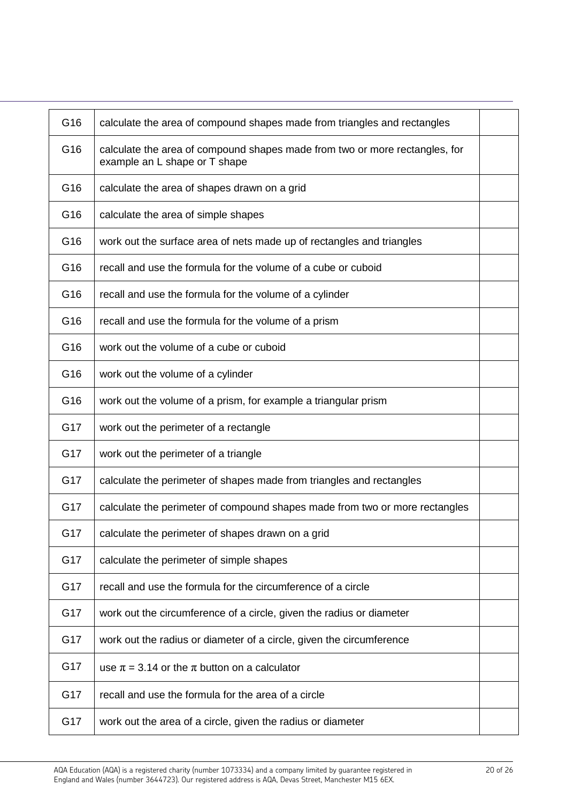| G16 | calculate the area of compound shapes made from triangles and rectangles                                     |  |
|-----|--------------------------------------------------------------------------------------------------------------|--|
| G16 | calculate the area of compound shapes made from two or more rectangles, for<br>example an L shape or T shape |  |
| G16 | calculate the area of shapes drawn on a grid                                                                 |  |
| G16 | calculate the area of simple shapes                                                                          |  |
| G16 | work out the surface area of nets made up of rectangles and triangles                                        |  |
| G16 | recall and use the formula for the volume of a cube or cuboid                                                |  |
| G16 | recall and use the formula for the volume of a cylinder                                                      |  |
| G16 | recall and use the formula for the volume of a prism                                                         |  |
| G16 | work out the volume of a cube or cuboid                                                                      |  |
| G16 | work out the volume of a cylinder                                                                            |  |
| G16 | work out the volume of a prism, for example a triangular prism                                               |  |
| G17 | work out the perimeter of a rectangle                                                                        |  |
| G17 | work out the perimeter of a triangle                                                                         |  |
| G17 | calculate the perimeter of shapes made from triangles and rectangles                                         |  |
| G17 | calculate the perimeter of compound shapes made from two or more rectangles                                  |  |
| G17 | calculate the perimeter of shapes drawn on a grid                                                            |  |
| G17 | calculate the perimeter of simple shapes                                                                     |  |
| G17 | recall and use the formula for the circumference of a circle                                                 |  |
| G17 | work out the circumference of a circle, given the radius or diameter                                         |  |
| G17 | work out the radius or diameter of a circle, given the circumference                                         |  |
| G17 | use $\pi$ = 3.14 or the $\pi$ button on a calculator                                                         |  |
| G17 | recall and use the formula for the area of a circle                                                          |  |
| G17 | work out the area of a circle, given the radius or diameter                                                  |  |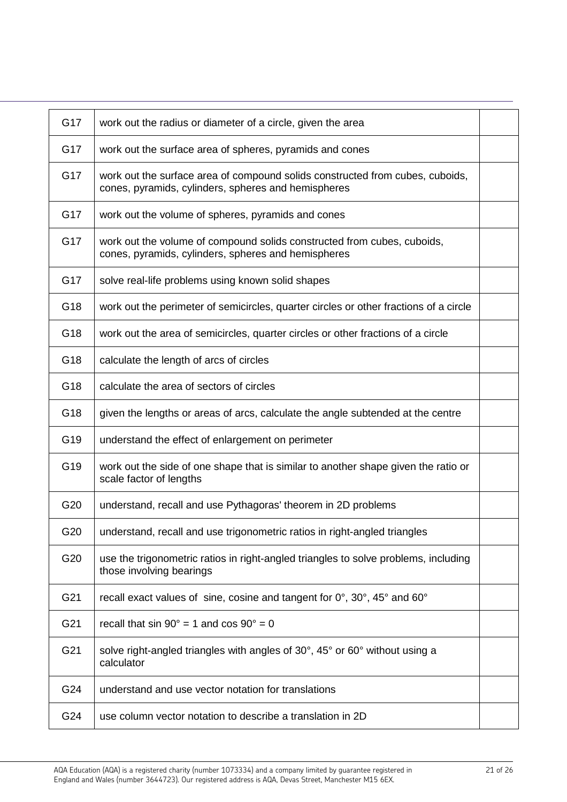| G17 | work out the radius or diameter of a circle, given the area                                                                          |  |
|-----|--------------------------------------------------------------------------------------------------------------------------------------|--|
| G17 | work out the surface area of spheres, pyramids and cones                                                                             |  |
| G17 | work out the surface area of compound solids constructed from cubes, cuboids,<br>cones, pyramids, cylinders, spheres and hemispheres |  |
| G17 | work out the volume of spheres, pyramids and cones                                                                                   |  |
| G17 | work out the volume of compound solids constructed from cubes, cuboids,<br>cones, pyramids, cylinders, spheres and hemispheres       |  |
| G17 | solve real-life problems using known solid shapes                                                                                    |  |
| G18 | work out the perimeter of semicircles, quarter circles or other fractions of a circle                                                |  |
| G18 | work out the area of semicircles, quarter circles or other fractions of a circle                                                     |  |
| G18 | calculate the length of arcs of circles                                                                                              |  |
| G18 | calculate the area of sectors of circles                                                                                             |  |
| G18 | given the lengths or areas of arcs, calculate the angle subtended at the centre                                                      |  |
| G19 | understand the effect of enlargement on perimeter                                                                                    |  |
| G19 | work out the side of one shape that is similar to another shape given the ratio or<br>scale factor of lengths                        |  |
| G20 | understand, recall and use Pythagoras' theorem in 2D problems                                                                        |  |
| G20 | understand, recall and use trigonometric ratios in right-angled triangles                                                            |  |
| G20 | use the trigonometric ratios in right-angled triangles to solve problems, including<br>those involving bearings                      |  |
| G21 | recall exact values of sine, cosine and tangent for 0°, 30°, 45° and 60°                                                             |  |
| G21 | recall that $sin 90^\circ = 1$ and $cos 90^\circ = 0$                                                                                |  |
| G21 | solve right-angled triangles with angles of 30°, 45° or 60° without using a<br>calculator                                            |  |
| G24 | understand and use vector notation for translations                                                                                  |  |
| G24 | use column vector notation to describe a translation in 2D                                                                           |  |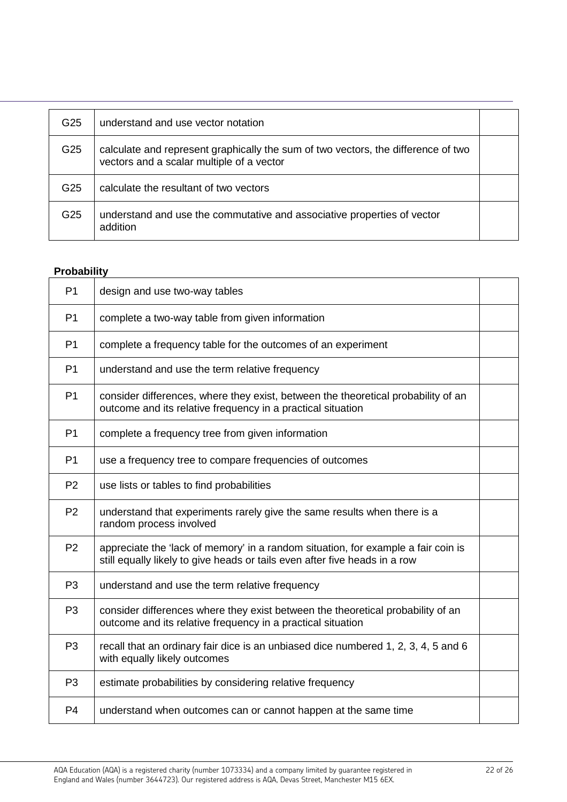| G25 | understand and use vector notation                                                                                             |  |
|-----|--------------------------------------------------------------------------------------------------------------------------------|--|
| G25 | calculate and represent graphically the sum of two vectors, the difference of two<br>vectors and a scalar multiple of a vector |  |
| G25 | calculate the resultant of two vectors                                                                                         |  |
| G25 | understand and use the commutative and associative properties of vector<br>addition                                            |  |

## **Probability**

| P <sub>1</sub> | design and use two-way tables                                                                                                                                   |  |
|----------------|-----------------------------------------------------------------------------------------------------------------------------------------------------------------|--|
| P <sub>1</sub> | complete a two-way table from given information                                                                                                                 |  |
| P <sub>1</sub> | complete a frequency table for the outcomes of an experiment                                                                                                    |  |
| P <sub>1</sub> | understand and use the term relative frequency                                                                                                                  |  |
| P <sub>1</sub> | consider differences, where they exist, between the theoretical probability of an<br>outcome and its relative frequency in a practical situation                |  |
| P <sub>1</sub> | complete a frequency tree from given information                                                                                                                |  |
| P <sub>1</sub> | use a frequency tree to compare frequencies of outcomes                                                                                                         |  |
| P <sub>2</sub> | use lists or tables to find probabilities                                                                                                                       |  |
| P <sub>2</sub> | understand that experiments rarely give the same results when there is a<br>random process involved                                                             |  |
| P <sub>2</sub> | appreciate the 'lack of memory' in a random situation, for example a fair coin is<br>still equally likely to give heads or tails even after five heads in a row |  |
| P <sub>3</sub> | understand and use the term relative frequency                                                                                                                  |  |
| P <sub>3</sub> | consider differences where they exist between the theoretical probability of an<br>outcome and its relative frequency in a practical situation                  |  |
| P <sub>3</sub> | recall that an ordinary fair dice is an unbiased dice numbered 1, 2, 3, 4, 5 and 6<br>with equally likely outcomes                                              |  |
| P <sub>3</sub> | estimate probabilities by considering relative frequency                                                                                                        |  |
| P <sub>4</sub> | understand when outcomes can or cannot happen at the same time                                                                                                  |  |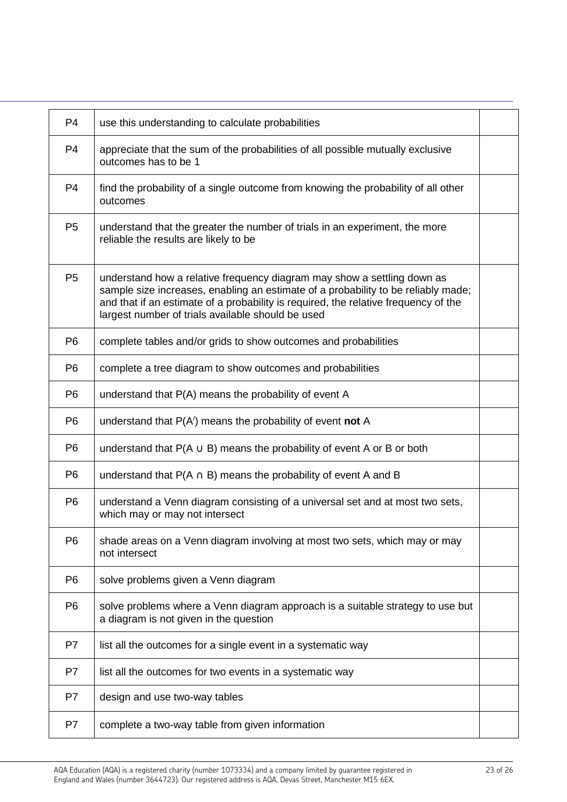| P <sub>4</sub> | use this understanding to calculate probabilities                                                                                                                                                                                                                                                        |  |
|----------------|----------------------------------------------------------------------------------------------------------------------------------------------------------------------------------------------------------------------------------------------------------------------------------------------------------|--|
| P <sub>4</sub> | appreciate that the sum of the probabilities of all possible mutually exclusive<br>outcomes has to be 1                                                                                                                                                                                                  |  |
| P <sub>4</sub> | find the probability of a single outcome from knowing the probability of all other<br>outcomes                                                                                                                                                                                                           |  |
| P <sub>5</sub> | understand that the greater the number of trials in an experiment, the more<br>reliable the results are likely to be                                                                                                                                                                                     |  |
| P <sub>5</sub> | understand how a relative frequency diagram may show a settling down as<br>sample size increases, enabling an estimate of a probability to be reliably made;<br>and that if an estimate of a probability is required, the relative frequency of the<br>largest number of trials available should be used |  |
| P <sub>6</sub> | complete tables and/or grids to show outcomes and probabilities                                                                                                                                                                                                                                          |  |
| P <sub>6</sub> | complete a tree diagram to show outcomes and probabilities                                                                                                                                                                                                                                               |  |
| P <sub>6</sub> | understand that P(A) means the probability of event A                                                                                                                                                                                                                                                    |  |
| P <sub>6</sub> | understand that $P(A)$ means the probability of event <b>not</b> A                                                                                                                                                                                                                                       |  |
| P <sub>6</sub> | understand that $P(A \cup B)$ means the probability of event A or B or both                                                                                                                                                                                                                              |  |
| P <sub>6</sub> | understand that $P(A \cap B)$ means the probability of event A and B                                                                                                                                                                                                                                     |  |
| P <sub>6</sub> | understand a Venn diagram consisting of a universal set and at most two sets,<br>which may or may not intersect                                                                                                                                                                                          |  |
| P <sub>6</sub> | shade areas on a Venn diagram involving at most two sets, which may or may<br>not intersect                                                                                                                                                                                                              |  |
| P <sub>6</sub> | solve problems given a Venn diagram                                                                                                                                                                                                                                                                      |  |
| P <sub>6</sub> | solve problems where a Venn diagram approach is a suitable strategy to use but<br>a diagram is not given in the question                                                                                                                                                                                 |  |
| P7             | list all the outcomes for a single event in a systematic way                                                                                                                                                                                                                                             |  |
| P7             | list all the outcomes for two events in a systematic way                                                                                                                                                                                                                                                 |  |
| P7             | design and use two-way tables                                                                                                                                                                                                                                                                            |  |
| P7             | complete a two-way table from given information                                                                                                                                                                                                                                                          |  |
|                |                                                                                                                                                                                                                                                                                                          |  |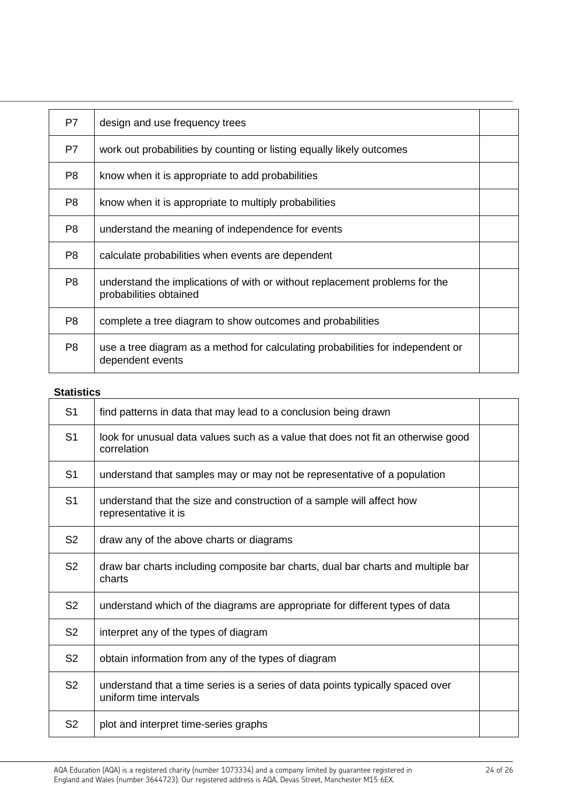| P7             | design and use frequency trees                                                                        |  |
|----------------|-------------------------------------------------------------------------------------------------------|--|
| P7             | work out probabilities by counting or listing equally likely outcomes                                 |  |
| P <sub>8</sub> | know when it is appropriate to add probabilities                                                      |  |
| P <sub>8</sub> | know when it is appropriate to multiply probabilities                                                 |  |
| P <sub>8</sub> | understand the meaning of independence for events                                                     |  |
| P8             | calculate probabilities when events are dependent                                                     |  |
| P <sub>8</sub> | understand the implications of with or without replacement problems for the<br>probabilities obtained |  |
| P <sub>8</sub> | complete a tree diagram to show outcomes and probabilities                                            |  |
| P <sub>8</sub> | use a tree diagram as a method for calculating probabilities for independent or<br>dependent events   |  |

## **Statistics**

| S <sub>1</sub> | find patterns in data that may lead to a conclusion being drawn                                          |  |
|----------------|----------------------------------------------------------------------------------------------------------|--|
| S <sub>1</sub> | look for unusual data values such as a value that does not fit an otherwise good<br>correlation          |  |
| S <sub>1</sub> | understand that samples may or may not be representative of a population                                 |  |
| S <sub>1</sub> | understand that the size and construction of a sample will affect how<br>representative it is            |  |
| S <sub>2</sub> | draw any of the above charts or diagrams                                                                 |  |
| S <sub>2</sub> | draw bar charts including composite bar charts, dual bar charts and multiple bar<br>charts               |  |
| S <sub>2</sub> | understand which of the diagrams are appropriate for different types of data                             |  |
| S <sub>2</sub> | interpret any of the types of diagram                                                                    |  |
| S <sub>2</sub> | obtain information from any of the types of diagram                                                      |  |
| S <sub>2</sub> | understand that a time series is a series of data points typically spaced over<br>uniform time intervals |  |
| S <sub>2</sub> | plot and interpret time-series graphs                                                                    |  |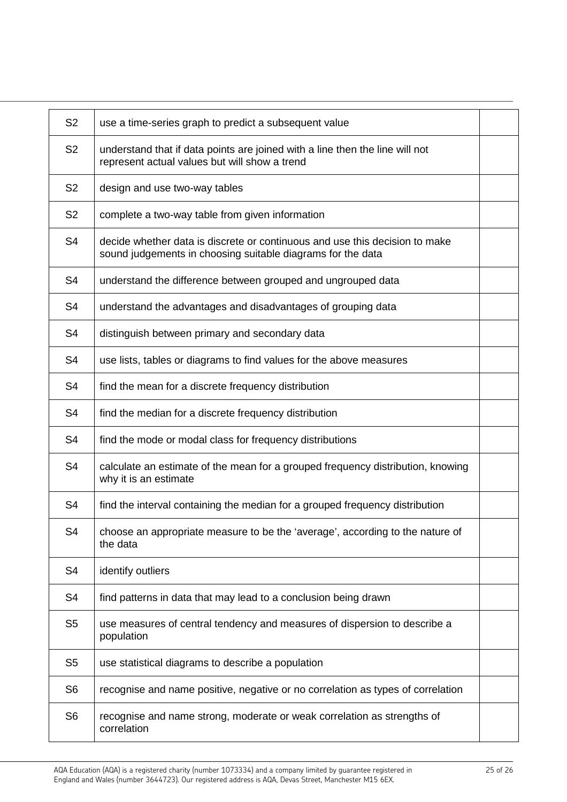| S <sub>2</sub> | use a time-series graph to predict a subsequent value                                                                                      |  |
|----------------|--------------------------------------------------------------------------------------------------------------------------------------------|--|
| S <sub>2</sub> | understand that if data points are joined with a line then the line will not<br>represent actual values but will show a trend              |  |
| S <sub>2</sub> | design and use two-way tables                                                                                                              |  |
| S <sub>2</sub> | complete a two-way table from given information                                                                                            |  |
| S <sub>4</sub> | decide whether data is discrete or continuous and use this decision to make<br>sound judgements in choosing suitable diagrams for the data |  |
| S <sub>4</sub> | understand the difference between grouped and ungrouped data                                                                               |  |
| S <sub>4</sub> | understand the advantages and disadvantages of grouping data                                                                               |  |
| S <sub>4</sub> | distinguish between primary and secondary data                                                                                             |  |
| S <sub>4</sub> | use lists, tables or diagrams to find values for the above measures                                                                        |  |
| S <sub>4</sub> | find the mean for a discrete frequency distribution                                                                                        |  |
| S <sub>4</sub> | find the median for a discrete frequency distribution                                                                                      |  |
| S <sub>4</sub> | find the mode or modal class for frequency distributions                                                                                   |  |
| S <sub>4</sub> | calculate an estimate of the mean for a grouped frequency distribution, knowing<br>why it is an estimate                                   |  |
| S <sub>4</sub> | find the interval containing the median for a grouped frequency distribution                                                               |  |
| S4             | choose an appropriate measure to be the 'average', according to the nature of<br>the data                                                  |  |
| S <sub>4</sub> | identify outliers                                                                                                                          |  |
| S <sub>4</sub> | find patterns in data that may lead to a conclusion being drawn                                                                            |  |
| S <sub>5</sub> | use measures of central tendency and measures of dispersion to describe a<br>population                                                    |  |
| S <sub>5</sub> | use statistical diagrams to describe a population                                                                                          |  |
| S <sub>6</sub> | recognise and name positive, negative or no correlation as types of correlation                                                            |  |
| S <sub>6</sub> | recognise and name strong, moderate or weak correlation as strengths of<br>correlation                                                     |  |